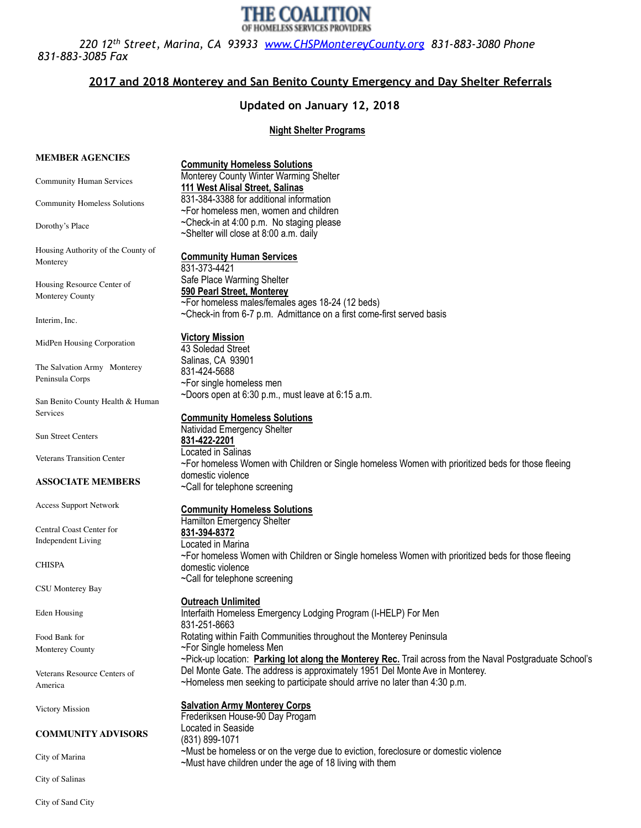

 *220 12th Street, Marina, CA 93933 [www.CHSPMontereyCounty.org](http://www.CHSPMontereyCounty.org) 831-883-3080 Phone 831-883-3085 Fax* 

# **2017 and 2018 Monterey and San Benito County Emergency and Day Shelter Referrals**

# **Updated on January 12, 2018**

# **Night Shelter Programs**

| <b>MEMBER AGENCIES</b>              | <b>Community Homeless Solutions</b>                                                                                       |
|-------------------------------------|---------------------------------------------------------------------------------------------------------------------------|
| <b>Community Human Services</b>     | Monterey County Winter Warming Shelter<br>111 West Alisal Street, Salinas                                                 |
| <b>Community Homeless Solutions</b> | 831-384-3388 for additional information<br>~For homeless men, women and children                                          |
| Dorothy's Place                     | ~Check-in at 4:00 p.m. No staging please<br>~Shelter will close at 8:00 a.m. daily                                        |
| Housing Authority of the County of  |                                                                                                                           |
| Monterey                            | <b>Community Human Services</b><br>831-373-4421                                                                           |
| Housing Resource Center of          | Safe Place Warming Shelter                                                                                                |
| Monterey County                     | 590 Pearl Street, Monterey                                                                                                |
|                                     | ~For homeless males/females ages 18-24 (12 beds)<br>~Check-in from 6-7 p.m. Admittance on a first come-first served basis |
| Interim, Inc.                       |                                                                                                                           |
| MidPen Housing Corporation          | <b>Victory Mission</b>                                                                                                    |
|                                     | 43 Soledad Street                                                                                                         |
| The Salvation Army Monterey         | Salinas, CA 93901                                                                                                         |
| Peninsula Corps                     | 831-424-5688                                                                                                              |
|                                     | ~For single homeless men<br>~Doors open at 6:30 p.m., must leave at 6:15 a.m.                                             |
| San Benito County Health & Human    |                                                                                                                           |
| Services                            | <b>Community Homeless Solutions</b>                                                                                       |
|                                     | Natividad Emergency Shelter                                                                                               |
| Sun Street Centers                  | 831-422-2201                                                                                                              |
| <b>Veterans Transition Center</b>   | Located in Salinas                                                                                                        |
|                                     | ~For homeless Women with Children or Single homeless Women with prioritized beds for those fleeing                        |
| <b>ASSOCIATE MEMBERS</b>            | domestic violence<br>~Call for telephone screening                                                                        |
| <b>Access Support Network</b>       |                                                                                                                           |
|                                     | <b>Community Homeless Solutions</b>                                                                                       |
| Central Coast Center for            | Hamilton Emergency Shelter                                                                                                |
| <b>Independent Living</b>           | 831-394-8372<br>Located in Marina                                                                                         |
|                                     | ~For homeless Women with Children or Single homeless Women with prioritized beds for those fleeing                        |
| CHISPA                              | domestic violence                                                                                                         |
|                                     | ~Call for telephone screening                                                                                             |
| <b>CSU Monterey Bay</b>             |                                                                                                                           |
|                                     | <b>Outreach Unlimited</b>                                                                                                 |
| <b>Eden Housing</b>                 | Interfaith Homeless Emergency Lodging Program (I-HELP) For Men                                                            |
| Food Bank for                       | 831-251-8663<br>Rotating within Faith Communities throughout the Monterey Peninsula                                       |
| Monterey County                     | ~For Single homeless Men                                                                                                  |
|                                     | ~Pick-up location: Parking lot along the Monterey Rec. Trail across from the Naval Postgraduate School's                  |
| Veterans Resource Centers of        | Del Monte Gate. The address is approximately 1951 Del Monte Ave in Monterey.                                              |
| America                             | ~Homeless men seeking to participate should arrive no later than 4:30 p.m.                                                |
|                                     |                                                                                                                           |
| Victory Mission                     | <b>Salvation Army Monterey Corps</b><br>Frederiksen House-90 Day Progam                                                   |
|                                     | Located in Seaside                                                                                                        |
| <b>COMMUNITY ADVISORS</b>           | (831) 899-1071                                                                                                            |
|                                     | ~Must be homeless or on the verge due to eviction, foreclosure or domestic violence                                       |
| City of Marina                      | ~Must have children under the age of 18 living with them                                                                  |

City of Salinas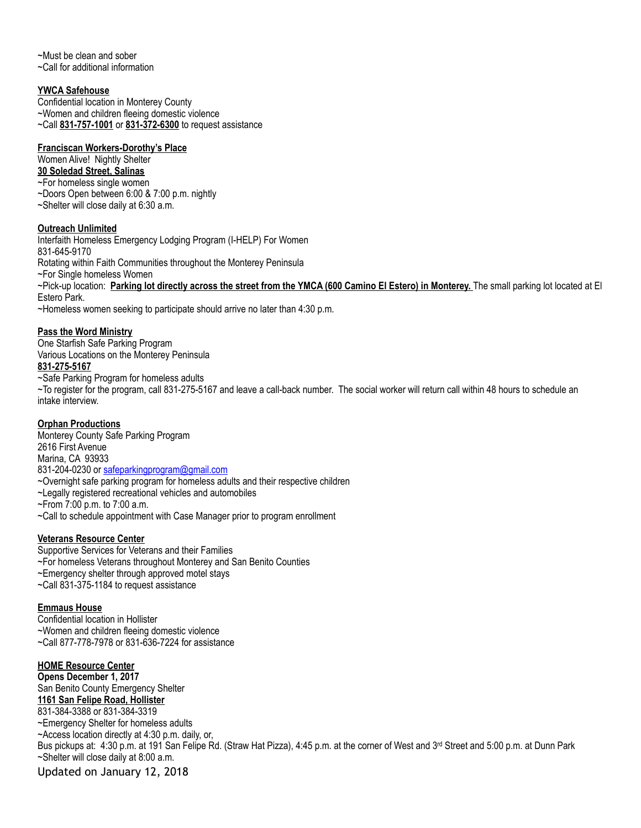~Must be clean and sober ~Call for additional information

#### **YWCA Safehouse**

Confidential location in Monterey County ~Women and children fleeing domestic violence ~Call **831-757-1001** or **831-372-6300** to request assistance

#### **Franciscan Workers-Dorothy's Place**

Women Alive! Nightly Shelter **30 Soledad Street, Salinas**  ~For homeless single women ~Doors Open between 6:00 & 7:00 p.m. nightly ~Shelter will close daily at 6:30 a.m.

#### **Outreach Unlimited**

Interfaith Homeless Emergency Lodging Program (I-HELP) For Women 831-645-9170 Rotating within Faith Communities throughout the Monterey Peninsula ~For Single homeless Women ~Pick-up location: **Parking lot directly across the street from the YMCA (600 Camino El Estero) in Monterey.** The small parking lot located at El Estero Park. ~Homeless women seeking to participate should arrive no later than 4:30 p.m.

#### **Pass the Word Ministry**

One Starfish Safe Parking Program Various Locations on the Monterey Peninsula **831-275-5167**  ~Safe Parking Program for homeless adults

~To register for the program, call 831-275-5167 and leave a call-back number. The social worker will return call within 48 hours to schedule an intake interview.

# **Orphan Productions**

Monterey County Safe Parking Program 2616 First Avenue Marina, CA 93933 831-204-0230 or [safeparkingprogram@gmail.com](mailto:safeparkingprogram@gmail.com) ~Overnight safe parking program for homeless adults and their respective children ~Legally registered recreational vehicles and automobiles ~From 7:00 p.m. to 7:00 a.m.

~Call to schedule appointment with Case Manager prior to program enrollment

# **Veterans Resource Center**

Supportive Services for Veterans and their Families ~For homeless Veterans throughout Monterey and San Benito Counties ~Emergency shelter through approved motel stays ~Call 831-375-1184 to request assistance

#### **Emmaus House**

Confidential location in Hollister ~Women and children fleeing domestic violence ~Call 877-778-7978 or 831-636-7224 for assistance

#### **HOME Resource Center**

**Opens December 1, 2017**  San Benito County Emergency Shelter **1161 San Felipe Road, Hollister**  831-384-3388 or 831-384-3319 ~Emergency Shelter for homeless adults ~Access location directly at 4:30 p.m. daily, or, Bus pickups at: 4:30 p.m. at 191 San Felipe Rd. (Straw Hat Pizza), 4:45 p.m. at the corner of West and 3<sup>rd</sup> Street and 5:00 p.m. at Dunn Park ~Shelter will close daily at 8:00 a.m. Updated on January 12, 2018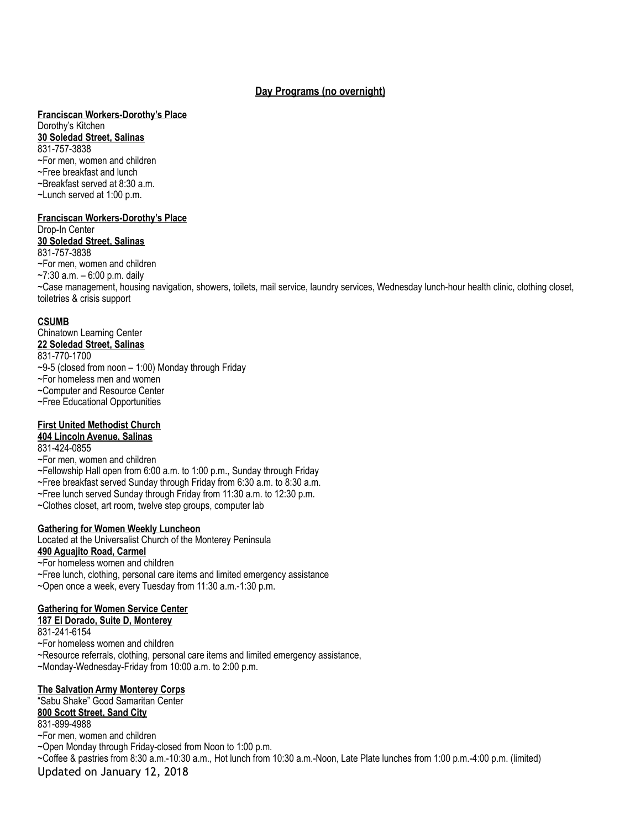# **Day Programs (no overnight)**

# **Franciscan Workers-Dorothy's Place**

Dorothy's Kitchen **30 Soledad Street, Salinas**  831-757-3838 ~For men, women and children ~Free breakfast and lunch

~Breakfast served at 8:30 a.m.

- ~Lunch served at 1:00 p.m.
- 

# **Franciscan Workers-Dorothy's Place**

Drop-In Center **30 Soledad Street, Salinas**  831-757-3838 ~For men, women and children ~7:30 a.m. – 6:00 p.m. daily ~Case management, housing navigation, showers, toilets, mail service, laundry services, Wednesday lunch-hour health clinic, clothing closet, toiletries & crisis support

# **CSUMB**

Chinatown Learning Center **22 Soledad Street, Salinas**  831-770-1700  $-9-5$  (closed from noon  $-1:00$ ) Monday through Friday ~For homeless men and women ~Computer and Resource Center ~Free Educational Opportunities

# **First United Methodist Church**

**404 Lincoln Avenue, Salinas** 

- 831-424-0855
- ~For men, women and children
- ~Fellowship Hall open from 6:00 a.m. to 1:00 p.m., Sunday through Friday
- ~Free breakfast served Sunday through Friday from 6:30 a.m. to 8:30 a.m.
- ~Free lunch served Sunday through Friday from 11:30 a.m. to 12:30 p.m.
- ~Clothes closet, art room, twelve step groups, computer lab

# **Gathering for Women Weekly Luncheon**

Located at the Universalist Church of the Monterey Peninsula **490 Aguajito Road, Carmel** 

- ~For homeless women and children
- ~Free lunch, clothing, personal care items and limited emergency assistance
- ~Open once a week, every Tuesday from 11:30 a.m.-1:30 p.m.

# **Gathering for Women Service Center**

# **187 El Dorado, Suite D, Monterey**

831-241-6154

- ~For homeless women and children
- ~Resource referrals, clothing, personal care items and limited emergency assistance,
- ~Monday-Wednesday-Friday from 10:00 a.m. to 2:00 p.m.

# **The Salvation Army Monterey Corps**

"Sabu Shake" Good Samaritan Center **800 Scott Street, Sand City** 

831-899-4988

~For men, women and children

~Open Monday through Friday-closed from Noon to 1:00 p.m.

~Coffee & pastries from 8:30 a.m.-10:30 a.m., Hot lunch from 10:30 a.m.-Noon, Late Plate lunches from 1:00 p.m.-4:00 p.m. (limited) Updated on January 12, 2018